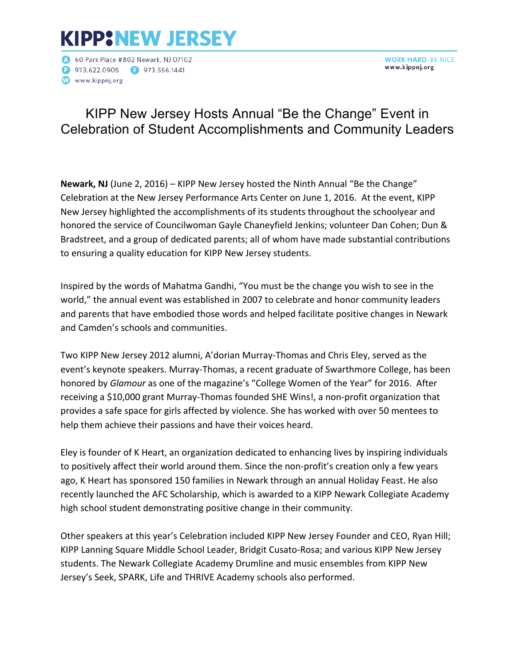# **KIPP:NEW JERSEY**

60 Park Place #802 Newark, NJ 07102 **D** 973.622.0905 **D** 973.556.1441 www.kippnj.org

**WORK HARD. BE NICE.** www.kippnj.org

## KIPP New Jersey Hosts Annual "Be the Change" Event in Celebration of Student Accomplishments and Community Leaders

**Newark, NJ** (June 2, 2016) – KIPP New Jersey hosted the Ninth Annual "Be the Change" Celebration at the New Jersey Performance Arts Center on June 1, 2016. At the event, KIPP New Jersey highlighted the accomplishments of its students throughout the schoolyear and honored the service of Councilwoman Gayle Chaneyfield Jenkins; volunteer Dan Cohen; Dun & Bradstreet, and a group of dedicated parents; all of whom have made substantial contributions to ensuring a quality education for KIPP New Jersey students.

Inspired by the words of Mahatma Gandhi, "You must be the change you wish to see in the world," the annual event was established in 2007 to celebrate and honor community leaders and parents that have embodied those words and helped facilitate positive changes in Newark and Camden's schools and communities.

Two KIPP New Jersey 2012 alumni, A'dorian Murray-Thomas and Chris Eley, served as the event's keynote speakers. Murray-Thomas, a recent graduate of Swarthmore College, has been honored by *Glamour* as one of the magazine's "College Women of the Year" for 2016. After receiving a \$10,000 grant Murray-Thomas founded SHE Wins!, a non-profit organization that provides a safe space for girls affected by violence. She has worked with over 50 mentees to help them achieve their passions and have their voices heard.

Eley is founder of K Heart, an organization dedicated to enhancing lives by inspiring individuals to positively affect their world around them. Since the non-profit's creation only a few years ago, K Heart has sponsored 150 families in Newark through an annual Holiday Feast. He also recently launched the AFC Scholarship, which is awarded to a KIPP Newark Collegiate Academy high school student demonstrating positive change in their community.

Other speakers at this year's Celebration included KIPP New Jersey Founder and CEO, Ryan Hill; KIPP Lanning Square Middle School Leader, Bridgit Cusato-Rosa; and various KIPP New Jersey students. The Newark Collegiate Academy Drumline and music ensembles from KIPP New Jersey's Seek, SPARK, Life and THRIVE Academy schools also performed.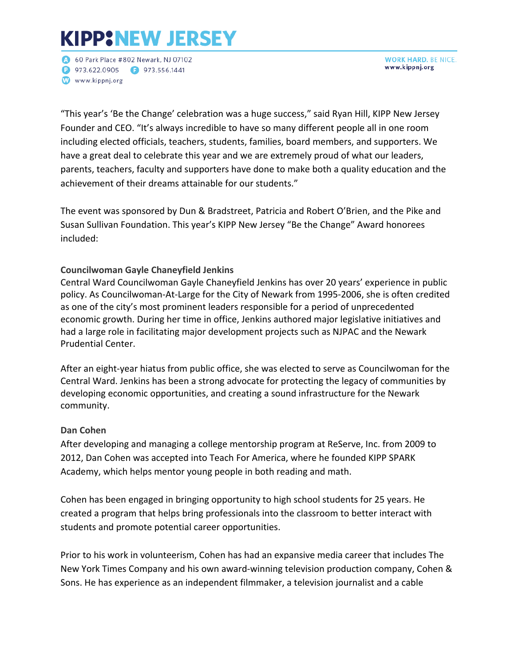# **KIPP:NEW JERSEY**

60 Park Place #802 Newark, NJ 07102 **P** 973.622.0905 **P** 973.556.1441 www.kippnj.org

**WORK HARD. BE NICE.** www.kippnj.org

"This year's 'Be the Change' celebration was a huge success," said Ryan Hill, KIPP New Jersey Founder and CEO. "It's always incredible to have so many different people all in one room including elected officials, teachers, students, families, board members, and supporters. We have a great deal to celebrate this year and we are extremely proud of what our leaders, parents, teachers, faculty and supporters have done to make both a quality education and the achievement of their dreams attainable for our students."

The event was sponsored by Dun & Bradstreet, Patricia and Robert O'Brien, and the Pike and Susan Sullivan Foundation. This year's KIPP New Jersey "Be the Change" Award honorees included:

### **Councilwoman Gayle Chaneyfield Jenkins**

Central Ward Councilwoman Gayle Chaneyfield Jenkins has over 20 years' experience in public policy. As Councilwoman-At-Large for the City of Newark from 1995-2006, she is often credited as one of the city's most prominent leaders responsible for a period of unprecedented economic growth. During her time in office, Jenkins authored major legislative initiatives and had a large role in facilitating major development projects such as NJPAC and the Newark Prudential Center. 

After an eight-year hiatus from public office, she was elected to serve as Councilwoman for the Central Ward. Jenkins has been a strong advocate for protecting the legacy of communities by developing economic opportunities, and creating a sound infrastructure for the Newark community.

### **Dan Cohen**

After developing and managing a college mentorship program at ReServe, Inc. from 2009 to 2012, Dan Cohen was accepted into Teach For America, where he founded KIPP SPARK Academy, which helps mentor young people in both reading and math.

Cohen has been engaged in bringing opportunity to high school students for 25 years. He created a program that helps bring professionals into the classroom to better interact with students and promote potential career opportunities.

Prior to his work in volunteerism, Cohen has had an expansive media career that includes The New York Times Company and his own award-winning television production company, Cohen & Sons. He has experience as an independent filmmaker, a television journalist and a cable